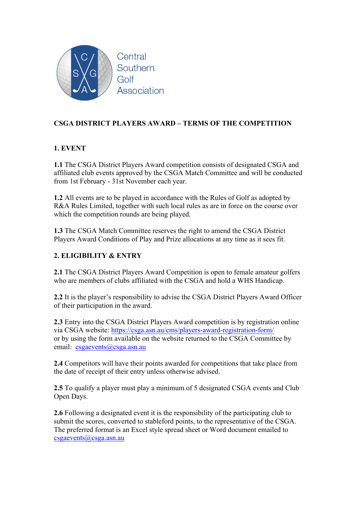

# **CSGA DISTRICT PLAYERS AWARD – TERMS OF THE COMPETITION**

## **1. EVENT**

**1.1** The CSGA District Players Award competition consists of designated CSGA and affiliated club events approved by the CSGA Match Committee and will be conducted from 1st February - 31st November each year.

**1.2** All events are to be played in accordance with the Rules of Golf as adopted by R&A Rules Limited, together with such local rules as are in force on the course over which the competition rounds are being played.

**1.3** The CSGA Match Committee reserves the right to amend the CSGA District Players Award Conditions of Play and Prize allocations at any time as it sees fit.

## **2. ELIGIBILITY & ENTRY**

**2.1** The CSGA District Players Award Competition is open to female amateur golfers who are members of clubs affiliated with the CSGA and hold a WHS Handicap.

**2.2** It is the player's responsibility to advise the CSGA District Players Award Officer of their participation in the award.

**2.3** Entry into the CSGA District Players Award competition is by registration online via CSGA website: https://csga.asn.au/cms/players-award-registration-form/ or by using the form available on the website returned to the CSGA Committee by email: csgaevents@csga.asn.au

**2.4** Competitors will have their points awarded for competitions that take place from the date of receipt of their entry unless otherwise advised.

**2.5** To qualify a player must play a minimum of 5 designated CSGA events and Club Open Days.

**2.6** Following a designated event it is the responsibility of the participating club to submit the scores, converted to stableford points, to the representative of the CSGA. The preferred format is an Excel style spread sheet or Word document emailed to csgaevents@csga.asn.au